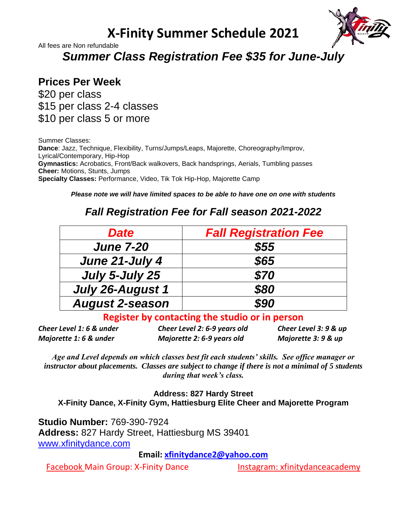## **X-Finity Summer Schedule 2021**



All fees are Non refundable

*Summer Class Registration Fee \$35 for June-July*

#### **Prices Per Week**

\$20 per class \$15 per class 2-4 classes \$10 per class 5 or more

Summer Classes: **Dance**: Jazz, Technique, Flexibility, Turns/Jumps/Leaps, Majorette, Choreography/Improv, Lyrical/Contemporary, Hip-Hop **Gymnastics:** Acrobatics, Front/Back walkovers, Back handsprings, Aerials, Tumbling passes **Cheer:** Motions, Stunts, Jumps **Specialty Classes:** Performance, Video, Tik Tok Hip-Hop, Majorette Camp

*Please note we will have limited spaces to be able to have one on one with students*

## *Fall Registration Fee for Fall season 2021-2022*

| <b>Date</b>            | <b>Fall Registration Fee</b> |
|------------------------|------------------------------|
| <b>June 7-20</b>       | \$55                         |
| June 21-July 4         | \$65                         |
| July 5-July 25         | \$70                         |
| July 26-August 1       | \$80                         |
| <b>August 2-season</b> | \$90                         |

#### **Register by contacting the studio or in person**

*Cheer Level 1: 6 & under Cheer Level 2: 6-9 years old Cheer Level 3: 9 & up Majorette 1: 6 & under Majorette 2: 6-9 years old Majorette 3: 9 & up* 

*Age and Level depends on which classes best fit each students' skills. See office manager or instructor about placements. Classes are subject to change if there is not a minimal of 5 students during that week's class.* 

**Address: 827 Hardy Street X-Finity Dance, X-Finity Gym, Hattiesburg Elite Cheer and Majorette Program**

**Studio Number:** 769-390-7924 **Address:** 827 Hardy Street, Hattiesburg MS 39401 [www.xfinitydance.com](http://www.xfinitydance.com/)

**Email: [xfinitydance2@yahoo.com](mailto:xfinitydance2@yahoo.com)** 

Facebook Main Group: X-Finity Dance Instagram: xfinitydanceacademy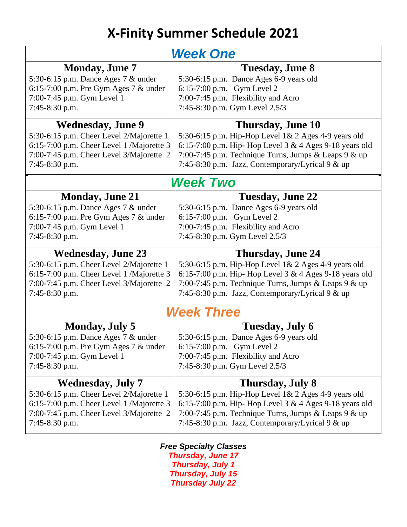# **X-Finity Summer Schedule 2021**

| <b>Week One</b>                           |                                                          |
|-------------------------------------------|----------------------------------------------------------|
| <b>Monday, June 7</b>                     | Tuesday, June 8                                          |
| 5:30-6:15 p.m. Dance Ages 7 & under       | 5:30-6:15 p.m. Dance Ages 6-9 years old                  |
| 6:15-7:00 p.m. Pre Gym Ages 7 $&$ under   | 6:15-7:00 p.m. Gym Level 2                               |
| 7:00-7:45 p.m. Gym Level 1                | 7:00-7:45 p.m. Flexibility and Acro                      |
| 7:45-8:30 p.m.                            | 7:45-8:30 p.m. Gym Level 2.5/3                           |
| <b>Wednesday, June 9</b>                  | Thursday, June 10                                        |
| 5:30-6:15 p.m. Cheer Level 2/Majorette 1  | 5:30-6:15 p.m. Hip-Hop Level 1& 2 Ages 4-9 years old     |
| 6:15-7:00 p.m. Cheer Level 1 /Majorette 3 | 6:15-7:00 p.m. Hip- Hop Level 3 & 4 Ages 9-18 years old  |
| 7:00-7:45 p.m. Cheer Level 3/Majorette 2  | 7:00-7:45 p.m. Technique Turns, Jumps & Leaps $9$ & up   |
| $7:45-8:30$ p.m.                          | 7:45-8:30 p.m. Jazz, Contemporary/Lyrical 9 & up         |
| Week Two                                  |                                                          |
| <b>Monday, June 21</b>                    | <b>Tuesday, June 22</b>                                  |
| 5:30-6:15 p.m. Dance Ages 7 & under       | 5:30-6:15 p.m. Dance Ages 6-9 years old                  |
| 6:15-7:00 p.m. Pre Gym Ages 7 $&$ under   | 6:15-7:00 p.m. Gym Level 2                               |
| 7:00-7:45 p.m. Gym Level 1                | 7:00-7:45 p.m. Flexibility and Acro                      |
| 7:45-8:30 p.m.                            | 7:45-8:30 p.m. Gym Level 2.5/3                           |
|                                           |                                                          |
| <b>Wednesday, June 23</b>                 | <b>Thursday, June 24</b>                                 |
| 5:30-6:15 p.m. Cheer Level 2/Majorette 1  | 5:30-6:15 p.m. Hip-Hop Level 1& 2 Ages 4-9 years old     |
| 6:15-7:00 p.m. Cheer Level 1 /Majorette 3 | 6:15-7:00 p.m. Hip- Hop Level 3 & 4 Ages 9-18 years old  |
| 7:00-7:45 p.m. Cheer Level 3/Majorette 2  | 7:00-7:45 p.m. Technique Turns, Jumps & Leaps 9 & up     |
| $7:45-8:30$ p.m.                          | 7:45-8:30 p.m. Jazz, Contemporary/Lyrical $9 \& up$      |
|                                           | <b>Week Three</b>                                        |
| <b>Monday, July 5</b>                     | Tuesday, July 6                                          |
| 5:30-6:15 p.m. Dance Ages 7 & under       | 5:30-6:15 p.m. Dance Ages 6-9 years old                  |
| 6:15-7:00 p.m. Pre Gym Ages 7 $&$ under   | 6:15-7:00 p.m. Gym Level 2                               |
| 7:00-7:45 p.m. Gym Level 1                | 7:00-7:45 p.m. Flexibility and Acro                      |
| 7:45-8:30 p.m.                            | 7:45-8:30 p.m. Gym Level 2.5/3                           |
| <b>Wednesday, July 7</b>                  | Thursday, July 8                                         |
| 5:30-6:15 p.m. Cheer Level 2/Majorette 1  | 5:30-6:15 p.m. Hip-Hop Level 1& 2 Ages 4-9 years old     |
| 6:15-7:00 p.m. Cheer Level 1 /Majorette 3 | 6:15-7:00 p.m. Hip-Hop Level $3 & 4$ Ages 9-18 years old |
| 7:00-7:45 p.m. Cheer Level 3/Majorette 2  | 7:00-7:45 p.m. Technique Turns, Jumps & Leaps 9 & up     |
| $7:45-8:30$ p.m.                          | 7:45-8:30 p.m. Jazz, Contemporary/Lyrical 9 & up         |

*Free Specialty Classes Thursday, June 17 Thursday, July 1 Thursday, July 15 Thursday July 22*